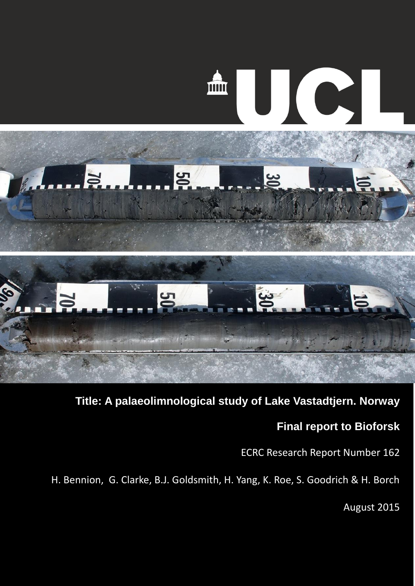

**Title: A palaeolimnological study of Lake Vastadtjern. Norway**

## **Final report to Bioforsk**

ECRC Research Report Number 162

H. Bennion, G. Clarke, B.J. Goldsmith, H. Yang, K. Roe, S. Goodrich & H. Borch

August 2015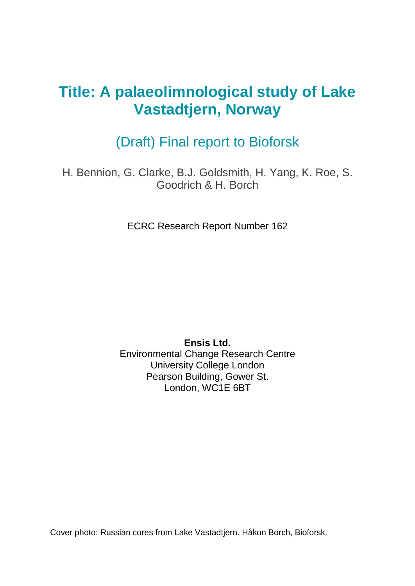# **Title: A palaeolimnological study of Lake Vastadtjern, Norway**

## (Draft) Final report to Bioforsk

H. Bennion, G. Clarke, B.J. Goldsmith, H. Yang, K. Roe, S. Goodrich & H. Borch

ECRC Research Report Number 162

**Ensis Ltd.** Environmental Change Research Centre University College London Pearson Building, Gower St. London, WC1E 6BT

Cover photo: Russian cores from Lake Vastadtjern. Håkon Borch, Bioforsk.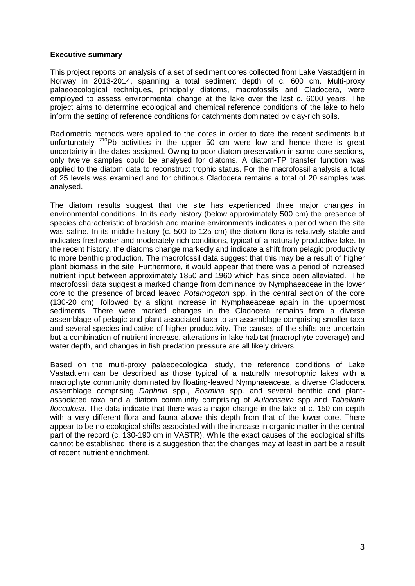#### **Executive summary**

This project reports on analysis of a set of sediment cores collected from Lake Vastadtjern in Norway in 2013-2014, spanning a total sediment depth of c. 600 cm. Multi-proxy palaeoecological techniques, principally diatoms, macrofossils and Cladocera, were employed to assess environmental change at the lake over the last c. 6000 years. The project aims to determine ecological and chemical reference conditions of the lake to help inform the setting of reference conditions for catchments dominated by clay-rich soils.

Radiometric methods were applied to the cores in order to date the recent sediments but unfortunately  $210Pb$  activities in the upper 50 cm were low and hence there is great uncertainty in the dates assigned. Owing to poor diatom preservation in some core sections, only twelve samples could be analysed for diatoms. A diatom-TP transfer function was applied to the diatom data to reconstruct trophic status. For the macrofossil analysis a total of 25 levels was examined and for chitinous Cladocera remains a total of 20 samples was analysed.

The diatom results suggest that the site has experienced three major changes in environmental conditions. In its early history (below approximately 500 cm) the presence of species characteristic of brackish and marine environments indicates a period when the site was saline. In its middle history (c. 500 to 125 cm) the diatom flora is relatively stable and indicates freshwater and moderately rich conditions, typical of a naturally productive lake. In the recent history, the diatoms change markedly and indicate a shift from pelagic productivity to more benthic production. The macrofossil data suggest that this may be a result of higher plant biomass in the site. Furthermore, it would appear that there was a period of increased nutrient input between approximately 1850 and 1960 which has since been alleviated. The macrofossil data suggest a marked change from dominance by Nymphaeaceae in the lower core to the presence of broad leaved *Potamogeton* spp. in the central section of the core (130-20 cm), followed by a slight increase in Nymphaeaceae again in the uppermost sediments. There were marked changes in the Cladocera remains from a diverse assemblage of pelagic and plant-associated taxa to an assemblage comprising smaller taxa and several species indicative of higher productivity. The causes of the shifts are uncertain but a combination of nutrient increase, alterations in lake habitat (macrophyte coverage) and water depth, and changes in fish predation pressure are all likely drivers.

Based on the multi-proxy palaeoecological study, the reference conditions of Lake Vastadtjern can be described as those typical of a naturally mesotrophic lakes with a macrophyte community dominated by floating-leaved Nymphaeaceae, a diverse Cladocera assemblage comprising *Daphnia* spp., *Bosmina* spp. and several benthic and plantassociated taxa and a diatom community comprising of *Aulacoseira* spp and *Tabellaria flocculosa*. The data indicate that there was a major change in the lake at c. 150 cm depth with a very different flora and fauna above this depth from that of the lower core. There appear to be no ecological shifts associated with the increase in organic matter in the central part of the record (c. 130-190 cm in VASTR). While the exact causes of the ecological shifts cannot be established, there is a suggestion that the changes may at least in part be a result of recent nutrient enrichment.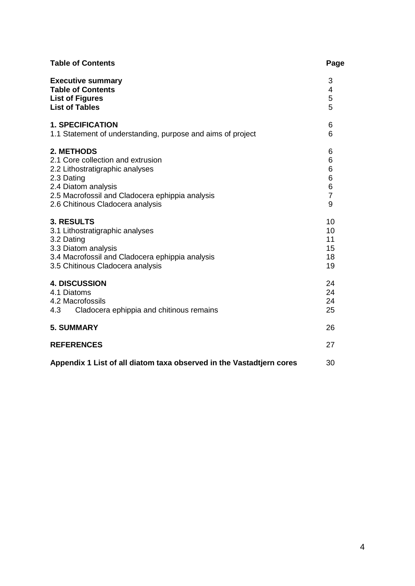| <b>Table of Contents</b>                                                                                                                                                                                       | Page                                         |
|----------------------------------------------------------------------------------------------------------------------------------------------------------------------------------------------------------------|----------------------------------------------|
| <b>Executive summary</b><br><b>Table of Contents</b><br><b>List of Figures</b><br><b>List of Tables</b>                                                                                                        | 3<br>4<br>5<br>5                             |
| <b>1. SPECIFICATION</b><br>1.1 Statement of understanding, purpose and aims of project                                                                                                                         | 6<br>6                                       |
| 2. METHODS<br>2.1 Core collection and extrusion<br>2.2 Lithostratigraphic analyses<br>2.3 Dating<br>2.4 Diatom analysis<br>2.5 Macrofossil and Cladocera ephippia analysis<br>2.6 Chitinous Cladocera analysis | 6<br>6<br>6<br>6<br>6<br>$\overline{7}$<br>9 |
| <b>3. RESULTS</b><br>3.1 Lithostratigraphic analyses<br>3.2 Dating<br>3.3 Diatom analysis<br>3.4 Macrofossil and Cladocera ephippia analysis<br>3.5 Chitinous Cladocera analysis                               | 10<br>10<br>11<br>15<br>18<br>19             |
| <b>4. DISCUSSION</b><br>4.1 Diatoms<br>4.2 Macrofossils<br>4.3<br>Cladocera ephippia and chitinous remains                                                                                                     | 24<br>24<br>24<br>25                         |
| <b>5. SUMMARY</b>                                                                                                                                                                                              | 26                                           |
| <b>REFERENCES</b>                                                                                                                                                                                              | 27                                           |
| Appendix 1 List of all diatom taxa observed in the Vastadtjern cores                                                                                                                                           | 30                                           |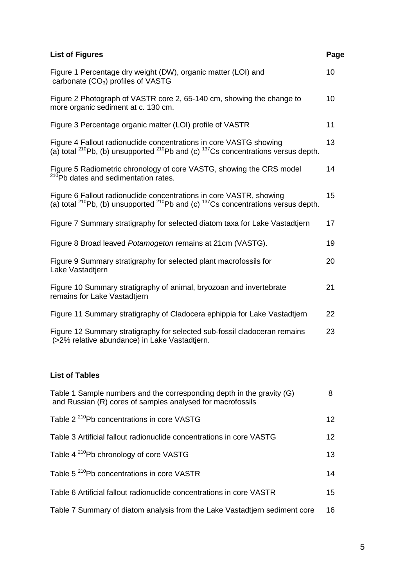| <b>List of Figures</b>                                                                                                                                                     | Page |
|----------------------------------------------------------------------------------------------------------------------------------------------------------------------------|------|
| Figure 1 Percentage dry weight (DW), organic matter (LOI) and<br>carbonate $(CO_3)$ profiles of VASTG                                                                      | 10   |
| Figure 2 Photograph of VASTR core 2, 65-140 cm, showing the change to<br>more organic sediment at c. 130 cm.                                                               | 10   |
| Figure 3 Percentage organic matter (LOI) profile of VASTR                                                                                                                  | 11   |
| Figure 4 Fallout radionuclide concentrations in core VASTG showing<br>(a) total $^{210}$ Pb, (b) unsupported $^{210}$ Pb and (c) $^{137}$ Cs concentrations versus depth.  | 13   |
| Figure 5 Radiometric chronology of core VASTG, showing the CRS model<br><sup>210</sup> Pb dates and sedimentation rates.                                                   | 14   |
| Figure 6 Fallout radionuclide concentrations in core VASTR, showing<br>(a) total $^{210}$ Pb, (b) unsupported $^{210}$ Pb and (c) $^{137}$ Cs concentrations versus depth. | 15   |
| Figure 7 Summary stratigraphy for selected diatom taxa for Lake Vastadtjern                                                                                                | 17   |
| Figure 8 Broad leaved Potamogeton remains at 21cm (VASTG).                                                                                                                 | 19   |
| Figure 9 Summary stratigraphy for selected plant macrofossils for<br>Lake Vastadtjern                                                                                      | 20   |
| Figure 10 Summary stratigraphy of animal, bryozoan and invertebrate<br>remains for Lake Vastadtjern                                                                        | 21   |
| Figure 11 Summary stratigraphy of Cladocera ephippia for Lake Vastadtjern                                                                                                  | 22   |
| Figure 12 Summary stratigraphy for selected sub-fossil cladoceran remains<br>(>2% relative abundance) in Lake Vastadtjern.                                                 | 23   |

## **List of Tables**

| Table 1 Sample numbers and the corresponding depth in the gravity (G)<br>and Russian (R) cores of samples analysed for macrofossils | 8               |
|-------------------------------------------------------------------------------------------------------------------------------------|-----------------|
| Table 2 <sup>210</sup> Pb concentrations in core VASTG                                                                              | 12 <sup>°</sup> |
| Table 3 Artificial fallout radionuclide concentrations in core VASTG                                                                | 12 <sup>2</sup> |
| Table 4 <sup>210</sup> Pb chronology of core VASTG                                                                                  | 13              |
| Table 5 <sup>210</sup> Pb concentrations in core VASTR                                                                              | 14              |
| Table 6 Artificial fallout radionuclide concentrations in core VASTR                                                                | 15              |
| Table 7 Summary of diatom analysis from the Lake Vastadtjern sediment core                                                          | 16              |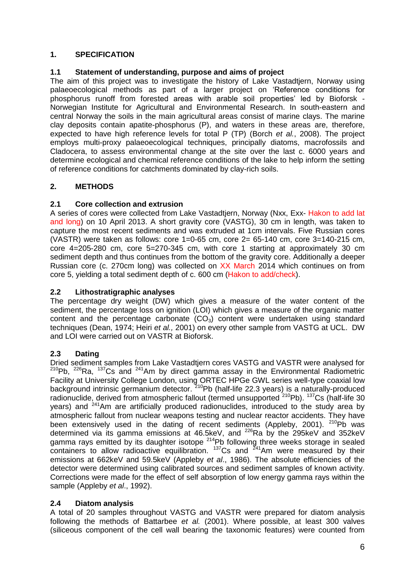### **1. SPECIFICATION**

## **1.1 Statement of understanding, purpose and aims of project**

The aim of this project was to investigate the history of Lake Vastadtjern, Norway using palaeoecological methods as part of a larger project on 'Reference conditions for phosphorus runoff from forested areas with arable soil properties' led by Bioforsk - Norwegian Institute for Agricultural and Environmental Research. In south-eastern and central Norway the soils in the main agricultural areas consist of marine clays. The marine clay deposits contain apatite-phosphorus (P), and waters in these areas are, therefore, expected to have high reference levels for total P (TP) (Borch *et al.*, 2008). The project employs multi-proxy palaeoecological techniques, principally diatoms, macrofossils and Cladocera, to assess environmental change at the site over the last c. 6000 years and determine ecological and chemical reference conditions of the lake to help inform the setting of reference conditions for catchments dominated by clay-rich soils.

## **2. METHODS**

## **2.1 Core collection and extrusion**

A series of cores were collected from Lake Vastadtjern, Norway (Nxx, Exx- Hakon to add lat and long) on 10 April 2013. A short gravity core (VASTG), 30 cm in length, was taken to capture the most recent sediments and was extruded at 1cm intervals. Five Russian cores (VASTR) were taken as follows: core 1=0-65 cm, core 2= 65-140 cm, core 3=140-215 cm, core 4=205-280 cm, core 5=270-345 cm, with core 1 starting at approximately 30 cm sediment depth and thus continues from the bottom of the gravity core. Additionally a deeper Russian core (c. 270cm long) was collected on XX March 2014 which continues on from core 5, yielding a total sediment depth of c. 600 cm (Hakon to add/check).

### **2.2 Lithostratigraphic analyses**

The percentage dry weight (DW) which gives a measure of the water content of the sediment, the percentage loss on ignition (LOI) which gives a measure of the organic matter content and the percentage carbonate  $(CO_3)$  content were undertaken using standard techniques (Dean, 1974; Heiri *et al.,* 2001) on every other sample from VASTG at UCL. DW and LOI were carried out on VASTR at Bioforsk.

## **2.3 Dating**

Dried sediment samples from Lake Vastadtjern cores VASTG and VASTR were analysed for <sup>210</sup>Pb, <sup>226</sup>Ra, <sup>137</sup>Cs and <sup>241</sup>Am by direct gamma assay in the Environmental Radiometric Facility at University College London, using ORTEC HPGe GWL series well-type coaxial low background intrinsic germanium detector. <sup>210</sup>Pb (half-life 22.3 years) is a naturally-produced radionuclide, derived from atmospheric fallout (termed unsupported <sup>210</sup>Pb). <sup>137</sup>Cs (half-life 30 years) and  $241$ Am are artificially produced radionuclides, introduced to the study area by atmospheric fallout from nuclear weapons testing and nuclear reactor accidents. They have been extensively used in the dating of recent sediments (Appleby, 2001).  $^{210}$ Pb was determined via its gamma emissions at 46.5keV, and  $^{226}$ Ra by the 295keV and 352keV gamma rays emitted by its daughter isotope  $214$ Pb following three weeks storage in sealed containers to allow radioactive equilibration.  $137$ Cs and  $241$ Am were measured by their emissions at 662keV and 59.5keV (Appleby *et al*., 1986). The absolute efficiencies of the detector were determined using calibrated sources and sediment samples of known activity. Corrections were made for the effect of self absorption of low energy gamma rays within the sample (Appleby *et al*., 1992).

### **2.4 Diatom analysis**

A total of 20 samples throughout VASTG and VASTR were prepared for diatom analysis following the methods of Battarbee *et al.* (2001). Where possible, at least 300 valves (siliceous component of the cell wall bearing the taxonomic features) were counted from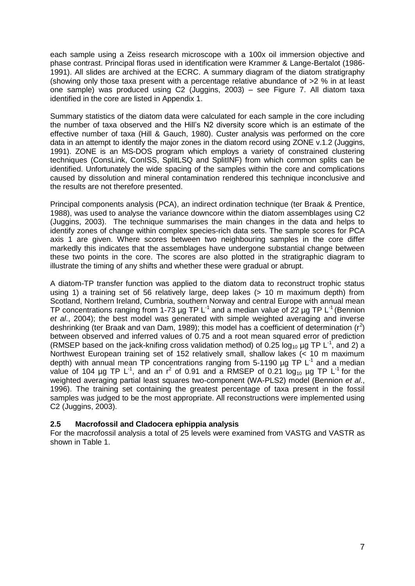each sample using a Zeiss research microscope with a 100x oil immersion objective and phase contrast. Principal floras used in identification were Krammer & Lange-Bertalot (1986- 1991). All slides are archived at the ECRC. A summary diagram of the diatom stratigraphy (showing only those taxa present with a percentage relative abundance of >2 % in at least one sample) was produced using C2 (Juggins, 2003) – see Figure 7. All diatom taxa identified in the core are listed in Appendix 1.

Summary statistics of the diatom data were calculated for each sample in the core including the number of taxa observed and the Hill's N2 diversity score which is an estimate of the effective number of taxa (Hill & Gauch, 1980). Custer analysis was performed on the core data in an attempt to identify the major zones in the diatom record using ZONE v.1.2 (Juggins, 1991). ZONE is an MS-DOS program which employs a variety of constrained clustering techniques (ConsLink, ConISS, SplitLSQ and SplitINF) from which common splits can be identified. Unfortunately the wide spacing of the samples within the core and complications caused by dissolution and mineral contamination rendered this technique inconclusive and the results are not therefore presented.

Principal components analysis (PCA), an indirect ordination technique (ter Braak & Prentice, 1988), was used to analyse the variance downcore within the diatom assemblages using C2 (Juggins, 2003). The technique summarises the main changes in the data and helps to identify zones of change within complex species-rich data sets. The sample scores for PCA axis 1 are given. Where scores between two neighbouring samples in the core differ markedly this indicates that the assemblages have undergone substantial change between these two points in the core. The scores are also plotted in the stratigraphic diagram to illustrate the timing of any shifts and whether these were gradual or abrupt.

A diatom-TP transfer function was applied to the diatom data to reconstruct trophic status using 1) a training set of 56 relatively large, deep lakes (> 10 m maximum depth) from Scotland, Northern Ireland, Cumbria, southern Norway and central Europe with annual mean TP concentrations ranging from 1-73  $\mu$ g TP L<sup>-1</sup> and a median value of 22  $\mu$ g TP L<sup>-1</sup> (Bennion *et al*., 2004); the best model was generated with simple weighted averaging and inverse deshrinking (ter Braak and van Dam, 1989); this model has a coefficient of determination ( $r^2$ ) between observed and inferred values of 0.75 and a root mean squared error of prediction (RMSEP based on the jack-knifing cross validation method) of 0.25  $log_{10} \mu$ g TP L<sup>-1</sup>, and 2) a Northwest European training set of 152 relatively small, shallow lakes (< 10 m maximum depth) with annual mean TP concentrations ranging from 5-1190  $\mu$ g TP L<sup>-1</sup> and a median value of 104 µg TP L<sup>-1</sup>, and an  $r^2$  of 0.91 and a RMSEP of 0.21  $log_{10}$  µg TP L<sup>-1</sup> for the weighted averaging partial least squares two-component (WA-PLS2) model (Bennion *et al*., 1996). The training set containing the greatest percentage of taxa present in the fossil samples was judged to be the most appropriate. All reconstructions were implemented using C2 (Juggins, 2003).

### **2.5 Macrofossil and Cladocera ephippia analysis**

For the macrofossil analysis a total of 25 levels were examined from VASTG and VASTR as shown in Table 1.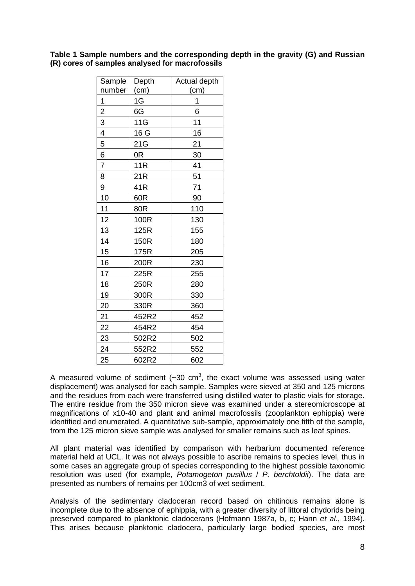**Table 1 Sample numbers and the corresponding depth in the gravity (G) and Russian (R) cores of samples analysed for macrofossils**

| Sample         | Depth           | Actual depth |
|----------------|-----------------|--------------|
| number         | (cm)            | (cm)         |
| 1              | 1G              | 1            |
| $\overline{2}$ | 6G              | 6            |
| $\overline{3}$ | 11G             | 11           |
| 4              | 16 G            | 16           |
| 5              | 21G             | 21           |
| 6              | 0R              | 30           |
| $\overline{7}$ | 11R             | 41           |
| 8              | 21 <sub>R</sub> | 51           |
| 9              | 41R             | 71           |
| 10             | 60R             | 90           |
| 11             | 80R             | 110          |
| 12             | 100R            | 130          |
| 13             | 125R            | 155          |
| 14             | 150R            | 180          |
| 15             | 175R            | 205          |
| 16             | 200R            | 230          |
| 17             | 225R            | 255          |
| 18             | 250R            | 280          |
| 19             | 300R            | 330          |
| 20             | 330R            | 360          |
| 21             | 452R2           | 452          |
| 22             | 454R2           | 454          |
| 23             | 502R2           | 502          |
| 24             | 552R2           | 552          |
| 25             | 602R2           | 602          |

A measured volume of sediment  $(-30 \text{ cm}^3, \text{ the exact volume was assessed using water})$ displacement) was analysed for each sample. Samples were sieved at 350 and 125 microns and the residues from each were transferred using distilled water to plastic vials for storage. The entire residue from the 350 micron sieve was examined under a stereomicroscope at magnifications of x10-40 and plant and animal macrofossils (zooplankton ephippia) were identified and enumerated. A quantitative sub-sample, approximately one fifth of the sample, from the 125 micron sieve sample was analysed for smaller remains such as leaf spines.

All plant material was identified by comparison with herbarium documented reference material held at UCL. It was not always possible to ascribe remains to species level, thus in some cases an aggregate group of species corresponding to the highest possible taxonomic resolution was used (for example, *Potamogeton pusillus* / *P. berchtoldii*). The data are presented as numbers of remains per 100cm3 of wet sediment.

Analysis of the sedimentary cladoceran record based on chitinous remains alone is incomplete due to the absence of ephippia, with a greater diversity of littoral chydorids being preserved compared to planktonic cladocerans (Hofmann 1987a, b, c; Hann *et al*., 1994). This arises because planktonic cladocera, particularly large bodied species, are most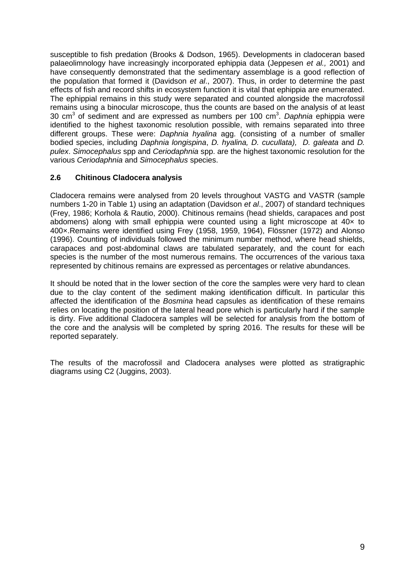susceptible to fish predation (Brooks & Dodson, 1965). Developments in cladoceran based palaeolimnology have increasingly incorporated ephippia data (Jeppesen *et al.,* 2001) and have consequently demonstrated that the sedimentary assemblage is a good reflection of the population that formed it (Davidson *et al*., 2007). Thus, in order to determine the past effects of fish and record shifts in ecosystem function it is vital that ephippia are enumerated. The ephippial remains in this study were separated and counted alongside the macrofossil remains using a binocular microscope, thus the counts are based on the analysis of at least 30 cm<sup>3</sup> of sediment and are expressed as numbers per 100 cm<sup>3</sup>. Daphnia ephippia were identified to the highest taxonomic resolution possible, with remains separated into three different groups. These were: *Daphnia hyalina* agg. (consisting of a number of smaller bodied species, including *Daphnia longispina*, *D. hyalina, D. cucullata), D. galeata* and *D. pulex*. *Simocephalus* spp and *Ceriodaphnia* spp. are the highest taxonomic resolution for the various *Ceriodaphnia* and *Simocephalus* species.

#### **2.6 Chitinous Cladocera analysis**

Cladocera remains were analysed from 20 levels throughout VASTG and VASTR (sample numbers 1-20 in Table 1) using an adaptation (Davidson *et al*., 2007) of standard techniques (Frey, 1986; Korhola & Rautio, 2000). Chitinous remains (head shields, carapaces and post abdomens) along with small ephippia were counted using a light microscope at 40x to 400×.Remains were identified using Frey (1958, 1959, 1964), Flössner (1972) and Alonso (1996). Counting of individuals followed the minimum number method, where head shields, carapaces and post-abdominal claws are tabulated separately, and the count for each species is the number of the most numerous remains. The occurrences of the various taxa represented by chitinous remains are expressed as percentages or relative abundances.

It should be noted that in the lower section of the core the samples were very hard to clean due to the clay content of the sediment making identification difficult. In particular this affected the identification of the *Bosmina* head capsules as identification of these remains relies on locating the position of the lateral head pore which is particularly hard if the sample is dirty. Five additional Cladocera samples will be selected for analysis from the bottom of the core and the analysis will be completed by spring 2016. The results for these will be reported separately.

The results of the macrofossil and Cladocera analyses were plotted as stratigraphic diagrams using C2 (Juggins, 2003).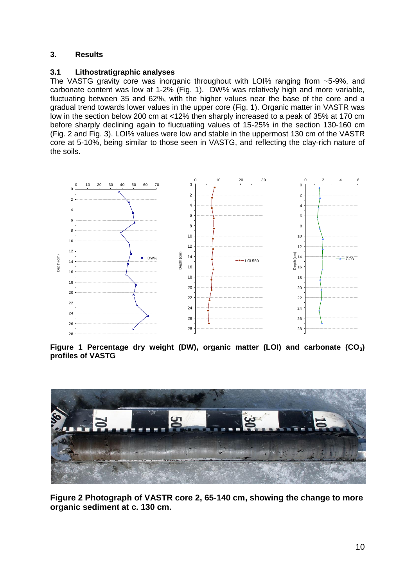#### **3. Results**

#### **3.1 Lithostratigraphic analyses**

The VASTG gravity core was inorganic throughout with LOI% ranging from ~5-9%, and carbonate content was low at 1-2% (Fig. 1). DW% was relatively high and more variable, fluctuating between 35 and 62%, with the higher values near the base of the core and a gradual trend towards lower values in the upper core (Fig. 1). Organic matter in VASTR was low in the section below 200 cm at <12% then sharply increased to a peak of 35% at 170 cm before sharply declining again to fluctuatiing values of 15-25% in the section 130-160 cm (Fig. 2 and Fig. 3). LOI% values were low and stable in the uppermost 130 cm of the VASTR core at 5-10%, being similar to those seen in VASTG, and reflecting the clay-rich nature of the soils.



**Figure 1 Percentage dry weight (DW), organic matter (LOI) and carbonate (CO3) profiles of VASTG**



**Figure 2 Photograph of VASTR core 2, 65-140 cm, showing the change to more organic sediment at c. 130 cm.**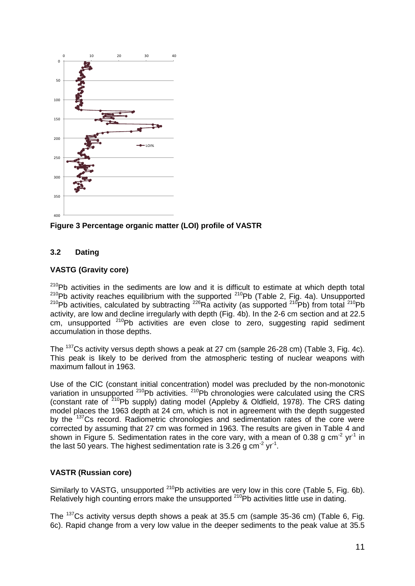

**Figure 3 Percentage organic matter (LOI) profile of VASTR**

#### **3.2 Dating**

#### **VASTG (Gravity core)**

 $210Pb$  activities in the sediments are low and it is difficult to estimate at which depth total 210Pb activity reaches equilibrium with the supported <sup>210</sup>Pb (Table 2, Fig. 4a). Unsupported  $210Pb$  activities, calculated by subtracting  $226Ra$  activity (as supported  $210Pb$ ) from total  $210Pb$ activity, are low and decline irregularly with depth (Fig. 4b). In the 2-6 cm section and at 22.5 cm, unsupported <sup>210</sup>Pb activities are even close to zero, suggesting rapid sediment accumulation in those depths.

The <sup>137</sup>Cs activity versus depth shows a peak at 27 cm (sample 26-28 cm) (Table 3, Fig. 4c). This peak is likely to be derived from the atmospheric testing of nuclear weapons with maximum fallout in 1963.

Use of the CIC (constant initial concentration) model was precluded by the non-monotonic variation in unsupported <sup>210</sup>Pb activities. <sup>210</sup>Pb chronologies were calculated using the CRS (constant rate of  $210$ Pb supply) dating model (Appleby & Oldfield, 1978). The CRS dating model places the 1963 depth at 24 cm, which is not in agreement with the depth suggested by the <sup>137</sup>Cs record. Radiometric chronologies and sedimentation rates of the core were corrected by assuming that 27 cm was formed in 1963. The results are given in Table 4 and shown in Figure 5. Sedimentation rates in the core vary, with a mean of 0.38 g cm<sup>-2</sup> yr<sup>-1</sup> in the last 50 years. The highest sedimentation rate is 3.26 g cm<sup>-2</sup> yr<sup>-1</sup>.

#### **VASTR (Russian core)**

Similarly to VASTG, unsupported <sup>210</sup>Pb activities are very low in this core (Table 5, Fig. 6b). Relatively high counting errors make the unsupported  $210$ Pb activities little use in dating.

The <sup>137</sup>Cs activity versus depth shows a peak at 35.5 cm (sample 35-36 cm) (Table 6, Fig. 6c). Rapid change from a very low value in the deeper sediments to the peak value at 35.5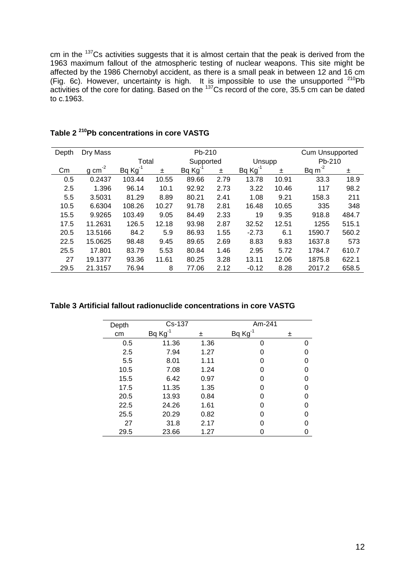cm in the  $137$ Cs activities suggests that it is almost certain that the peak is derived from the 1963 maximum fallout of the atmospheric testing of nuclear weapons. This site might be affected by the 1986 Chernobyl accident, as there is a small peak in between 12 and 16 cm (Fig. 6c). However, uncertainty is high. It is impossible to use the unsupported  $^{210}Pb$ activities of the core for dating. Based on the  $137$ Cs record of the core, 35.5 cm can be dated to c.1963.

| Depth | Dry Mass            | Pb-210 |       |           |      |              | Cum Unsupported |             |       |
|-------|---------------------|--------|-------|-----------|------|--------------|-----------------|-------------|-------|
|       |                     | Total  |       | Supported |      | Unsupp       |                 | Pb-210      |       |
| Cm    | $g \text{ cm}^{-2}$ | Bq Kg  | ±.    | Bq Kg     | ±.   | $Bq Kg^{-1}$ | 士               | Bq $m^{-2}$ | 士     |
| 0.5   | 0.2437              | 103.44 | 10.55 | 89.66     | 2.79 | 13.78        | 10.91           | 33.3        | 18.9  |
| 2.5   | 1.396               | 96.14  | 10.1  | 92.92     | 2.73 | 3.22         | 10.46           | 117         | 98.2  |
| 5.5   | 3.5031              | 81.29  | 8.89  | 80.21     | 2.41 | 1.08         | 9.21            | 158.3       | 211   |
| 10.5  | 6.6304              | 108.26 | 10.27 | 91.78     | 2.81 | 16.48        | 10.65           | 335         | 348   |
| 15.5  | 9.9265              | 103.49 | 9.05  | 84.49     | 2.33 | 19           | 9.35            | 918.8       | 484.7 |
| 17.5  | 11.2631             | 126.5  | 12.18 | 93.98     | 2.87 | 32.52        | 12.51           | 1255        | 515.1 |
| 20.5  | 13.5166             | 84.2   | 5.9   | 86.93     | 1.55 | $-2.73$      | 6.1             | 1590.7      | 560.2 |
| 22.5  | 15.0625             | 98.48  | 9.45  | 89.65     | 2.69 | 8.83         | 9.83            | 1637.8      | 573   |
| 25.5  | 17.801              | 83.79  | 5.53  | 80.84     | 1.46 | 2.95         | 5.72            | 1784.7      | 610.7 |
| 27    | 19.1377             | 93.36  | 11.61 | 80.25     | 3.28 | 13.11        | 12.06           | 1875.8      | 622.1 |
| 29.5  | 21.3157             | 76.94  | 8     | 77.06     | 2.12 | $-0.12$      | 8.28            | 2017.2      | 658.5 |

## **Table 2 <sup>210</sup>Pb concentrations in core VASTG**

**Table 3 Artificial fallout radionuclide concentrations in core VASTG**

| Depth | Cs-137       |      | Am-241       |   |
|-------|--------------|------|--------------|---|
| cm    | $Bq Kg^{-1}$ | 士    | $Bq Kg^{-1}$ | 土 |
| 0.5   | 11.36        | 1.36 | 0            |   |
| 2.5   | 7.94         | 1.27 | O            |   |
| 5.5   | 8.01         | 1.11 | O            |   |
| 10.5  | 7.08         | 1.24 | O            |   |
| 15.5  | 6.42         | 0.97 | O            |   |
| 17.5  | 11.35        | 1.35 | O            |   |
| 20.5  | 13.93        | 0.84 | O            |   |
| 22.5  | 24.26        | 1.61 | O            |   |
| 25.5  | 20.29        | 0.82 | O            |   |
| 27    | 31.8         | 2.17 |              |   |
| 29.5  | 23.66        | 1.27 |              |   |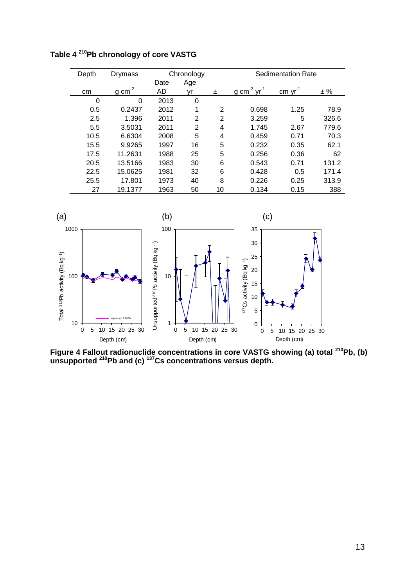**Table 4 <sup>210</sup>Pb chronology of core VASTG** 

| Depth | Drymass    | Chronology |                |                |                      | <b>Sedimentation Rate</b>                      |       |
|-------|------------|------------|----------------|----------------|----------------------|------------------------------------------------|-------|
|       |            | Date       | Age            |                |                      |                                                |       |
| cm    | -2<br>g cm | AD         | vr             | 士              | -2<br>$vr-1$<br>g cm | $\frac{\text{cm}}{\text{cm}}$ yr <sup>-1</sup> | ± %   |
| 0     | 0          | 2013       | 0              |                |                      |                                                |       |
| 0.5   | 0.2437     | 2012       | 1              | 2              | 0.698                | 1.25                                           | 78.9  |
| 2.5   | 1.396      | 2011       | $\overline{2}$ | $\overline{2}$ | 3.259                | 5                                              | 326.6 |
| 5.5   | 3.5031     | 2011       | $\overline{2}$ | 4              | 1.745                | 2.67                                           | 779.6 |
| 10.5  | 6.6304     | 2008       | 5              | 4              | 0.459                | 0.71                                           | 70.3  |
| 15.5  | 9.9265     | 1997       | 16             | 5              | 0.232                | 0.35                                           | 62.1  |
| 17.5  | 11.2631    | 1988       | 25             | 5              | 0.256                | 0.36                                           | 62    |
| 20.5  | 13.5166    | 1983       | 30             | 6              | 0.543                | 0.71                                           | 131.2 |
| 22.5  | 15.0625    | 1981       | 32             | 6              | 0.428                | 0.5                                            | 171.4 |
| 25.5  | 17.801     | 1973       | 40             | 8              | 0.226                | 0.25                                           | 313.9 |
| 27    | 19.1377    | 1963       | 50             | 10             | 0.134                | 0.15                                           | 388   |



**Figure 4 Fallout radionuclide concentrations in core VASTG showing (a) total <sup>210</sup>Pb, (b) unsupported <sup>210</sup>Pb and (c) <sup>137</sup>Cs concentrations versus depth.**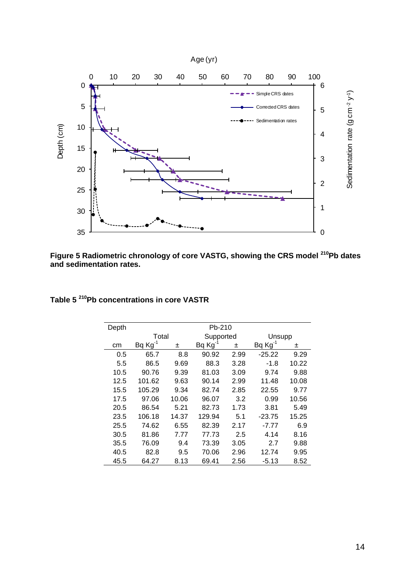

**Figure 5 Radiometric chronology of core VASTG, showing the CRS model <sup>210</sup>Pb dates and sedimentation rates.** 

| Depth |        |       |        |      |                     |             |
|-------|--------|-------|--------|------|---------------------|-------------|
|       |        |       |        |      | Unsupp              |             |
| cm    | Bq Kg  | 士     | Bq Kg  | 土    |                     | 土           |
| 0.5   | 65.7   | 8.8   | 90.92  | 2.99 | $-25.22$            | 9.29        |
| 5.5   | 86.5   | 9.69  | 88.3   | 3.28 | $-1.8$              | 10.22       |
| 10.5  | 90.76  | 9.39  | 81.03  | 3.09 | 9.74                | 9.88        |
| 12.5  | 101.62 | 9.63  | 90.14  | 2.99 | 11.48               | 10.08       |
| 15.5  | 105.29 | 9.34  | 82.74  | 2.85 | 22.55               | 9.77        |
| 17.5  | 97.06  | 10.06 | 96.07  | 3.2  | 0.99                | 10.56       |
| 20.5  | 86.54  | 5.21  | 82.73  | 1.73 | 3.81                | 5.49        |
| 23.5  | 106.18 | 14.37 | 129.94 | 5.1  | $-23.75$            | 15.25       |
| 25.5  | 74.62  | 6.55  | 82.39  | 2.17 | $-7.77$             | 6.9         |
| 30.5  | 81.86  | 7.77  | 77.73  | 2.5  | 4.14                | 8.16        |
| 35.5  | 76.09  | 9.4   | 73.39  | 3.05 | 2.7                 | 9.88        |
| 40.5  | 82.8   | 9.5   | 70.06  | 2.96 | 12.74               | 9.95        |
| 45.5  | 64.27  | 8.13  | 69.41  | 2.56 | $-5.13$             | 8.52        |
|       |        |       | Total  |      | Pb-210<br>Supported | $BqKg^{-1}$ |

#### **Table 5 <sup>210</sup>Pb concentrations in core VASTR**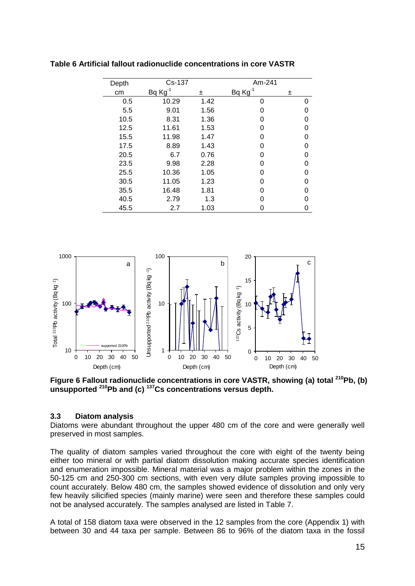| Depth | Cs-137 | Am-241 |              |   |
|-------|--------|--------|--------------|---|
| cm    | Bq Kg  | 土      | $Bq Kg^{-1}$ | 士 |
| 0.5   | 10.29  | 1.42   | 0            | 0 |
| 5.5   | 9.01   | 1.56   | O            | O |
| 10.5  | 8.31   | 1.36   | O            | ი |
| 12.5  | 11.61  | 1.53   | U            | O |
| 15.5  | 11.98  | 1.47   | O            | ი |
| 17.5  | 8.89   | 1.43   | U            | O |
| 20.5  | 6.7    | 0.76   | U            | ი |
| 23.5  | 9.98   | 2.28   | O            | ი |
| 25.5  | 10.36  | 1.05   | U            | ი |
| 30.5  | 11.05  | 1.23   | U            | 0 |
| 35.5  | 16.48  | 1.81   | U            | ი |
| 40.5  | 2.79   | 1.3    | O            | ი |
| 45.5  | 2.7    | 1.03   | ი            | 0 |

**Table 6 Artificial fallout radionuclide concentrations in core VASTR**



**Figure 6 Fallout radionuclide concentrations in core VASTR, showing (a) total <sup>210</sup>Pb, (b) unsupported <sup>210</sup>Pb and (c) <sup>137</sup>Cs concentrations versus depth.**

#### **3.3 Diatom analysis**

Diatoms were abundant throughout the upper 480 cm of the core and were generally well preserved in most samples.

The quality of diatom samples varied throughout the core with eight of the twenty being either too mineral or with partial diatom dissolution making accurate species identification and enumeration impossible. Mineral material was a major problem within the zones in the 50-125 cm and 250-300 cm sections, with even very dilute samples proving impossible to count accurately. Below 480 cm, the samples showed evidence of dissolution and only very few heavily silicified species (mainly marine) were seen and therefore these samples could not be analysed accurately. The samples analysed are listed in Table 7.

A total of 158 diatom taxa were observed in the 12 samples from the core (Appendix 1) with between 30 and 44 taxa per sample. Between 86 to 96% of the diatom taxa in the fossil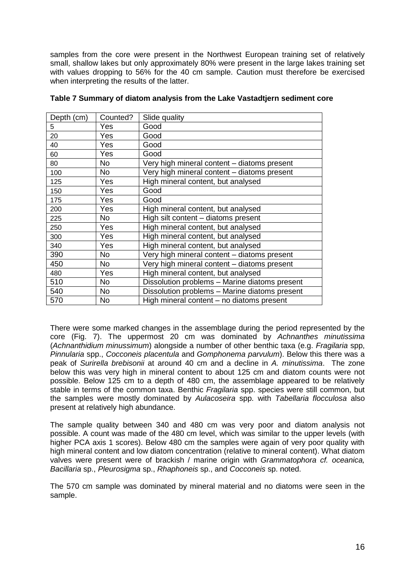samples from the core were present in the Northwest European training set of relatively small, shallow lakes but only approximately 80% were present in the large lakes training set with values dropping to 56% for the 40 cm sample. Caution must therefore be exercised when interpreting the results of the latter.

| Depth (cm) | Counted?  | Slide quality                                 |
|------------|-----------|-----------------------------------------------|
| 5          | Yes       | Good                                          |
| 20         | Yes.      | Good                                          |
| 40         | Yes       | Good                                          |
| 60         | Yes       | Good                                          |
| 80         | No.       | Very high mineral content - diatoms present   |
| 100        | No        | Very high mineral content - diatoms present   |
| 125        | Yes       | High mineral content, but analysed            |
| 150        | Yes       | Good                                          |
| 175        | Yes       | Good                                          |
| 200        | Yes       | High mineral content, but analysed            |
| 225        | No.       | High silt content - diatoms present           |
| 250        | Yes       | High mineral content, but analysed            |
| 300        | Yes       | High mineral content, but analysed            |
| 340        | Yes       | High mineral content, but analysed            |
| 390        | No        | Very high mineral content - diatoms present   |
| 450        | <b>No</b> | Very high mineral content - diatoms present   |
| 480        | Yes       | High mineral content, but analysed            |
| 510        | <b>No</b> | Dissolution problems - Marine diatoms present |
| 540        | <b>No</b> | Dissolution problems - Marine diatoms present |
| 570        | No.       | High mineral content - no diatoms present     |

|  | Table 7 Summary of diatom analysis from the Lake Vastadtjern sediment core |  |
|--|----------------------------------------------------------------------------|--|
|  |                                                                            |  |

There were some marked changes in the assemblage during the period represented by the core (Fig. 7). The uppermost 20 cm was dominated by *Achnanthes minutissima*  (*Achnanthidium minussimum*) alongside a number of other benthic taxa (e.g. *Fragilaria* spp, *Pinnularia* spp., *Cocconeis placentula* and *Gomphonema parvulum*). Below this there was a peak of *Surirella brebisonii* at around 40 cm and a decline in *A. minutissima*. The zone below this was very high in mineral content to about 125 cm and diatom counts were not possible. Below 125 cm to a depth of 480 cm, the assemblage appeared to be relatively stable in terms of the common taxa. Benthic *Fragilaria* spp. species were still common, but the samples were mostly dominated by *Aulacoseira* spp. with *Tabellaria flocculosa* also present at relatively high abundance.

The sample quality between 340 and 480 cm was very poor and diatom analysis not possible. A count was made of the 480 cm level, which was similar to the upper levels (with higher PCA axis 1 scores). Below 480 cm the samples were again of very poor quality with high mineral content and low diatom concentration (relative to mineral content). What diatom valves were present were of brackish / marine origin with *Grammatophora cf. oceanica, Bacillaria* sp., *Pleurosigma* sp., *Rhaphoneis* sp., and *Cocconeis* sp. noted.

The 570 cm sample was dominated by mineral material and no diatoms were seen in the sample.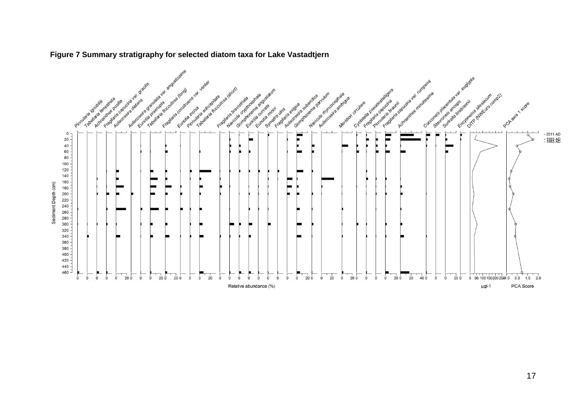

#### **Figure 7 Summary stratigraphy for selected diatom taxa for Lake Vastadtjern**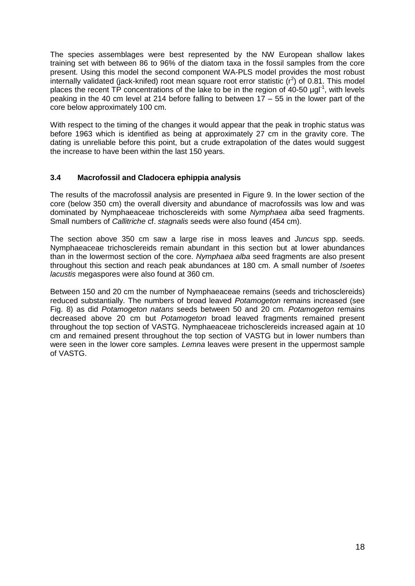The species assemblages were best represented by the NW European shallow lakes training set with between 86 to 96% of the diatom taxa in the fossil samples from the core present. Using this model the second component WA-PLS model provides the most robust internally validated (jack-knifed) root mean square root error statistic  $(r^2)$  of 0.81. This model places the recent TP concentrations of the lake to be in the region of 40-50  $\mu$ gl<sup>-1</sup>, with levels peaking in the 40 cm level at 214 before falling to between  $17 - 55$  in the lower part of the core below approximately 100 cm.

With respect to the timing of the changes it would appear that the peak in trophic status was before 1963 which is identified as being at approximately 27 cm in the gravity core. The dating is unreliable before this point, but a crude extrapolation of the dates would suggest the increase to have been within the last 150 years.

#### **3.4 Macrofossil and Cladocera ephippia analysis**

The results of the macrofossil analysis are presented in Figure 9. In the lower section of the core (below 350 cm) the overall diversity and abundance of macrofossils was low and was dominated by Nymphaeaceae trichosclereids with some *Nymphaea alba* seed fragments. Small numbers of *Callitriche* cf. *stagnalis* seeds were also found (454 cm).

The section above 350 cm saw a large rise in moss leaves and *Juncus* spp. seeds. Nymphaeaceae trichosclereids remain abundant in this section but at lower abundances than in the lowermost section of the core. *Nymphaea alba* seed fragments are also present throughout this section and reach peak abundances at 180 cm. A small number of *Isoetes lacustis* megaspores were also found at 360 cm.

Between 150 and 20 cm the number of Nymphaeaceae remains (seeds and trichosclereids) reduced substantially. The numbers of broad leaved *Potamogeton* remains increased (see Fig. 8) as did *Potamogeton natans* seeds between 50 and 20 cm. *Potamogeton* remains decreased above 20 cm but *Potamogeton* broad leaved fragments remained present throughout the top section of VASTG. Nymphaeaceae trichosclereids increased again at 10 cm and remained present throughout the top section of VASTG but in lower numbers than were seen in the lower core samples. *Lemna* leaves were present in the uppermost sample of VASTG.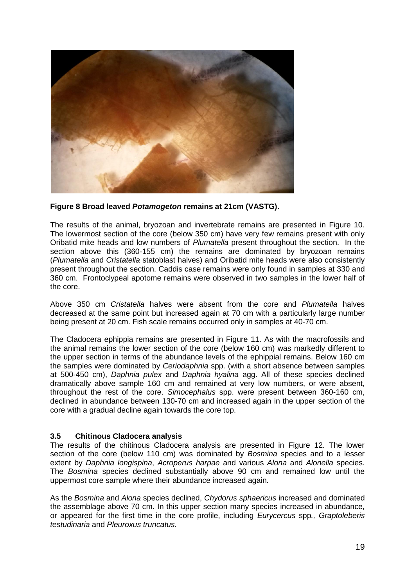

#### **Figure 8 Broad leaved** *Potamogeton* **remains at 21cm (VASTG).**

The results of the animal, bryozoan and invertebrate remains are presented in Figure 10. The lowermost section of the core (below 350 cm) have very few remains present with only Oribatid mite heads and low numbers of *Plumatella* present throughout the section. In the section above this (360-155 cm) the remains are dominated by bryozoan remains (*Plumatella* and *Cristatella* statoblast halves) and Oribatid mite heads were also consistently present throughout the section. Caddis case remains were only found in samples at 330 and 360 cm. Frontoclypeal apotome remains were observed in two samples in the lower half of the core.

Above 350 cm *Cristatella* halves were absent from the core and *Plumatella* halves decreased at the same point but increased again at 70 cm with a particularly large number being present at 20 cm. Fish scale remains occurred only in samples at 40-70 cm.

The Cladocera ephippia remains are presented in Figure 11. As with the macrofossils and the animal remains the lower section of the core (below 160 cm) was markedly different to the upper section in terms of the abundance levels of the ephippial remains. Below 160 cm the samples were dominated by *Ceriodaphnia* spp. (with a short absence between samples at 500-450 cm), *Daphnia pulex* and *Daphnia hyalina* agg. All of these species declined dramatically above sample 160 cm and remained at very low numbers, or were absent, throughout the rest of the core. *Simocephalus* spp. were present between 360-160 cm, declined in abundance between 130-70 cm and increased again in the upper section of the core with a gradual decline again towards the core top.

#### **3.5 Chitinous Cladocera analysis**

The results of the chitinous Cladocera analysis are presented in Figure 12. The lower section of the core (below 110 cm) was dominated by *Bosmina* species and to a lesser extent by *Daphnia longispina*, *Acroperus harpae* and various *Alona* and *Alonella* species. The *Bosmina* species declined substantially above 90 cm and remained low until the uppermost core sample where their abundance increased again.

As the *Bosmina* and *Alona* species declined, *Chydorus sphaericus* increased and dominated the assemblage above 70 cm. In this upper section many species increased in abundance, or appeared for the first time in the core profile, including *Eurycercus* spp*., Graptoleberis testudinaria* and *Pleuroxus truncatus.*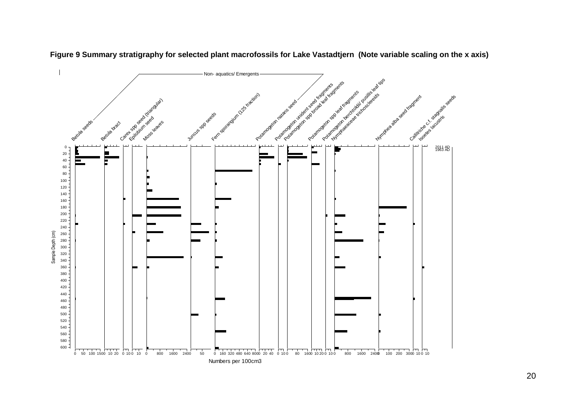

**Figure 9 Summary stratigraphy for selected plant macrofossils for Lake Vastadtjern (Note variable scaling on the x axis)**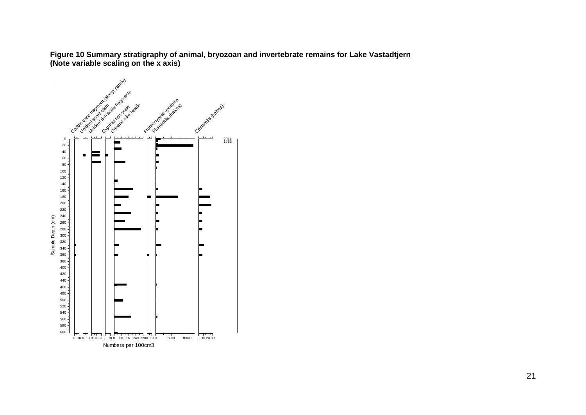**Figure 10 Summary stratigraphy of animal, bryozoan and invertebrate remains for Lake Vastadtjern (Note variable scaling on the x axis)**

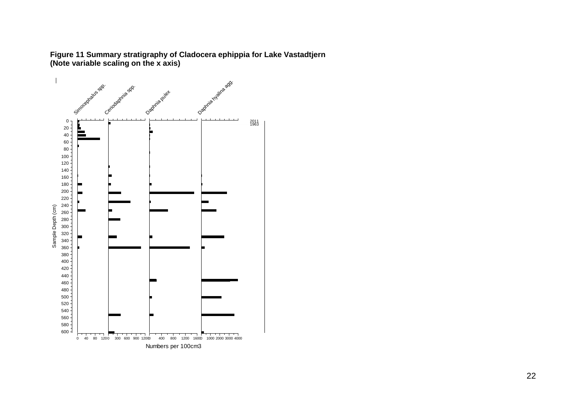

Numbers per 100cm3

**Figure 11 Summary stratigraphy of Cladocera ephippia for Lake Vastadtjern (Note variable scaling on the x axis)**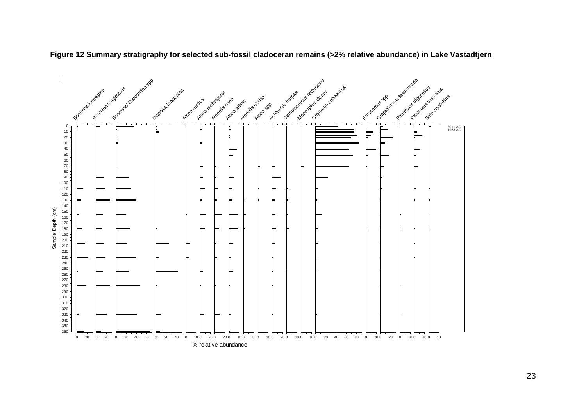

**Figure 12 Summary stratigraphy for selected sub-fossil cladoceran remains (>2% relative abundance) in Lake Vastadtjern**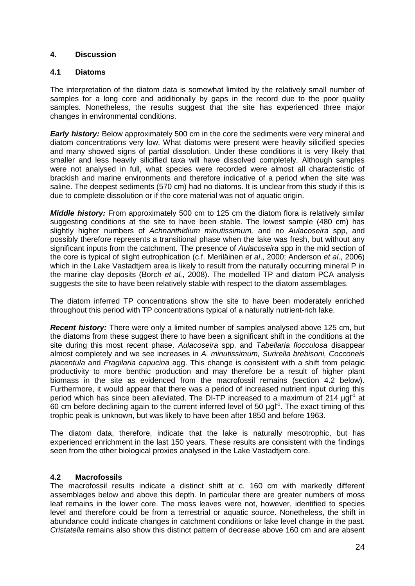#### **4. Discussion**

#### **4.1 Diatoms**

The interpretation of the diatom data is somewhat limited by the relatively small number of samples for a long core and additionally by gaps in the record due to the poor quality samples. Nonetheless, the results suggest that the site has experienced three major changes in environmental conditions.

*Early history:* Below approximately 500 cm in the core the sediments were very mineral and diatom concentrations very low. What diatoms were present were heavily silicified species and many showed signs of partial dissolution. Under these conditions it is very likely that smaller and less heavily silicified taxa will have dissolved completely. Although samples were not analysed in full, what species were recorded were almost all characteristic of brackish and marine environments and therefore indicative of a period when the site was saline. The deepest sediments (570 cm) had no diatoms. It is unclear from this study if this is due to complete dissolution or if the core material was not of aquatic origin.

*Middle history:* From approximately 500 cm to 125 cm the diatom flora is relatively similar suggesting conditions at the site to have been stable. The lowest sample (480 cm) has slightly higher numbers of *Achnanthidium minutissimum,* and no *Aulacoseira* spp, and possibly therefore represents a transitional phase when the lake was fresh, but without any significant inputs from the catchment. The presence of *Aulacoseira* spp in the mid section of the core is typical of slight eutrophication (c.f. Meriläinen *et al*., 2000; Anderson *et al*., 2006) which in the Lake Vastadtjern area is likely to result from the naturally occurring mineral P in the marine clay deposits (Borch *et al.*, 2008). The modelled TP and diatom PCA analysis suggests the site to have been relatively stable with respect to the diatom assemblages.

The diatom inferred TP concentrations show the site to have been moderately enriched throughout this period with TP concentrations typical of a naturally nutrient-rich lake.

*Recent history:* There were only a limited number of samples analysed above 125 cm, but the diatoms from these suggest there to have been a significant shift in the conditions at the site during this most recent phase. *Aulacoseira* spp. and *Tabellaria flocculosa* disappear almost completely and we see increases in *A. minutissimum, Surirella brebisoni, Cocconeis placentula* and *Fragilaria capucina* agg. This change is consistent with a shift from pelagic productivity to more benthic production and may therefore be a result of higher plant biomass in the site as evidenced from the macrofossil remains (section 4.2 below). Furthermore, it would appear that there was a period of increased nutrient input during this period which has since been alleviated. The DI-TP increased to a maximum of 214  $\mu$ gl<sup>-1</sup> at  $60$  cm before declining again to the current inferred level of 50  $\mu$ gl<sup>-1</sup>. The exact timing of this trophic peak is unknown, but was likely to have been after 1850 and before 1963.

The diatom data, therefore, indicate that the lake is naturally mesotrophic, but has experienced enrichment in the last 150 years. These results are consistent with the findings seen from the other biological proxies analysed in the Lake Vastadtjern core.

#### **4.2 Macrofossils**

The macrofossil results indicate a distinct shift at c. 160 cm with markedly different assemblages below and above this depth. In particular there are greater numbers of moss leaf remains in the lower core. The moss leaves were not, however, identified to species level and therefore could be from a terrestrial or aquatic source. Nonetheless, the shift in abundance could indicate changes in catchment conditions or lake level change in the past. *Cristatella* remains also show this distinct pattern of decrease above 160 cm and are absent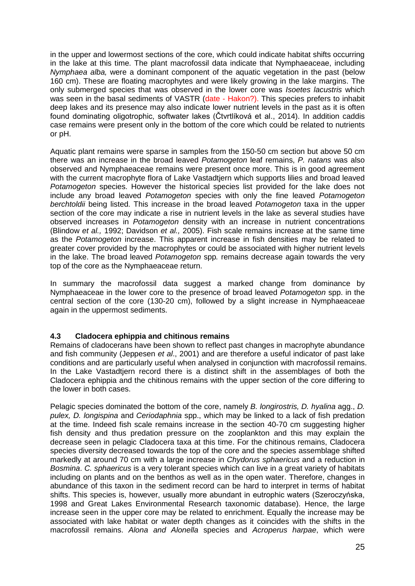in the upper and lowermost sections of the core, which could indicate habitat shifts occurring in the lake at this time. The plant macrofossil data indicate that Nymphaeaceae, including *Nymphaea alba,* were a dominant component of the aquatic vegetation in the past (below 160 cm). These are floating macrophytes and were likely growing in the lake margins. The only submerged species that was observed in the lower core was *Isoetes lacustris* which was seen in the basal sediments of VASTR (date - Hakon?). This species prefers to inhabit deep lakes and its presence may also indicate lower nutrient levels in the past as it is often found dominating oligotrophic, softwater lakes (Čtvrtlíková et al., 2014). In addition caddis case remains were present only in the bottom of the core which could be related to nutrients or pH.

Aquatic plant remains were sparse in samples from the 150-50 cm section but above 50 cm there was an increase in the broad leaved *Potamogeton* leaf remains, *P. natans* was also observed and Nymphaeaceae remains were present once more. This is in good agreement with the current macrophyte flora of Lake Vastadtjern which supports lilies and broad leaved *Potamogeton* species. However the historical species list provided for the lake does not include any broad leaved *Potamogeton* species with only the fine leaved *Potamogeton berchtoldii* being listed. This increase in the broad leaved *Potamogeton* taxa in the upper section of the core may indicate a rise in nutrient levels in the lake as several studies have observed increases in *Potamogeton* density with an increase in nutrient concentrations (Blindow *et al.,* 1992; Davidson *et al.,* 2005). Fish scale remains increase at the same time as the *Potamogeton* increase. This apparent increase in fish densities may be related to greater cover provided by the macrophytes or could be associated with higher nutrient levels in the lake. The broad leaved *Potamogeton* spp*.* remains decrease again towards the very top of the core as the Nymphaeaceae return.

In summary the macrofossil data suggest a marked change from dominance by Nymphaeaceae in the lower core to the presence of broad leaved *Potamogeton* spp. in the central section of the core (130-20 cm), followed by a slight increase in Nymphaeaceae again in the uppermost sediments.

#### **4.3 Cladocera ephippia and chitinous remains**

Remains of cladocerans have been shown to reflect past changes in macrophyte abundance and fish community (Jeppesen *et al*., 2001) and are therefore a useful indicator of past lake conditions and are particularly useful when analysed in conjunction with macrofossil remains. In the Lake Vastadtjern record there is a distinct shift in the assemblages of both the Cladocera ephippia and the chitinous remains with the upper section of the core differing to the lower in both cases.

Pelagic species dominated the bottom of the core, namely *B. longirostris, D. hyalina* agg., *D. pulex, D. longispina* and *Ceriodaphnia* spp., which may be linked to a lack of fish predation at the time. Indeed fish scale remains increase in the section 40-70 cm suggesting higher fish density and thus predation pressure on the zooplankton and this may explain the decrease seen in pelagic Cladocera taxa at this time. For the chitinous remains, Cladocera species diversity decreased towards the top of the core and the species assemblage shifted markedly at around 70 cm with a large increase in *Chydorus sphaericus* and a reduction in *Bosmina*. *C. sphaericus* is a very tolerant species which can live in a great variety of habitats including on plants and on the benthos as well as in the open water. Therefore, changes in abundance of this taxon in the sediment record can be hard to interpret in terms of habitat shifts. This species is, however, usually more abundant in eutrophic waters (Szeroczyńska, 1998 and Great Lakes Environmental Research taxonomic database). Hence, the large increase seen in the upper core may be related to enrichment. Equally the increase may be associated with lake habitat or water depth changes as it coincides with the shifts in the macrofossil remains. *Alona and Alonella* species and *Acroperus harpae*, which were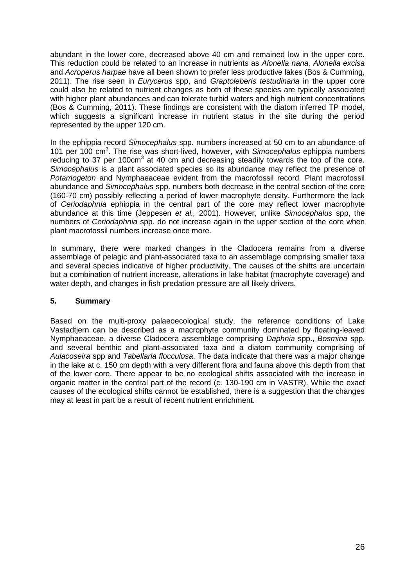abundant in the lower core, decreased above 40 cm and remained low in the upper core. This reduction could be related to an increase in nutrients as *Alonella nana, Alonella excisa*  and *Acroperus harpae* have all been shown to prefer less productive lakes (Bos & Cumming, 2011). The rise seen in *Eurycerus* spp, and *Graptoleberis testudinaria* in the upper core could also be related to nutrient changes as both of these species are typically associated with higher plant abundances and can tolerate turbid waters and high nutrient concentrations (Bos & Cumming, 2011). These findings are consistent with the diatom inferred TP model, which suggests a significant increase in nutrient status in the site during the period represented by the upper 120 cm.

In the ephippia record *Simocephalus* spp. numbers increased at 50 cm to an abundance of 101 per 100 cm<sup>3</sup> . The rise was short-lived, however, with *Simocephalus* ephippia numbers reducing to 37 per 100cm<sup>3</sup> at 40 cm and decreasing steadily towards the top of the core. *Simocephalus* is a plant associated species so its abundance may reflect the presence of *Potamogeton* and Nymphaeaceae evident from the macrofossil record. Plant macrofossil abundance and *Simocephalus* spp. numbers both decrease in the central section of the core (160-70 cm) possibly reflecting a period of lower macrophyte density. Furthermore the lack of *Ceriodaphnia* ephippia in the central part of the core may reflect lower macrophyte abundance at this time (Jeppesen *et al.,* 2001). However, unlike *Simocephalus* spp, the numbers of *Ceriodaphnia* spp. do not increase again in the upper section of the core when plant macrofossil numbers increase once more.

In summary, there were marked changes in the Cladocera remains from a diverse assemblage of pelagic and plant-associated taxa to an assemblage comprising smaller taxa and several species indicative of higher productivity. The causes of the shifts are uncertain but a combination of nutrient increase, alterations in lake habitat (macrophyte coverage) and water depth, and changes in fish predation pressure are all likely drivers.

#### **5. Summary**

Based on the multi-proxy palaeoecological study, the reference conditions of Lake Vastadtjern can be described as a macrophyte community dominated by floating-leaved Nymphaeaceae, a diverse Cladocera assemblage comprising *Daphnia* spp., *Bosmina* spp. and several benthic and plant-associated taxa and a diatom community comprising of *Aulacoseira* spp and *Tabellaria flocculosa*. The data indicate that there was a major change in the lake at c. 150 cm depth with a very different flora and fauna above this depth from that of the lower core. There appear to be no ecological shifts associated with the increase in organic matter in the central part of the record (c. 130-190 cm in VASTR). While the exact causes of the ecological shifts cannot be established, there is a suggestion that the changes may at least in part be a result of recent nutrient enrichment.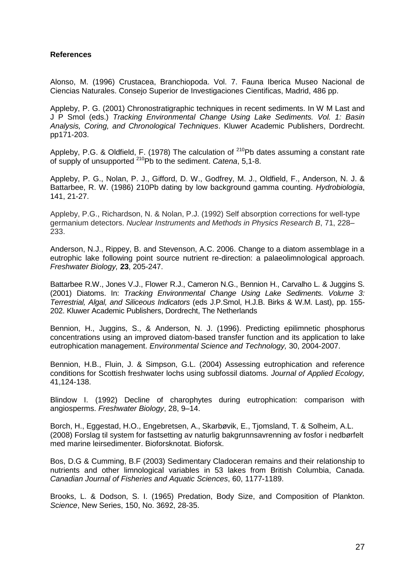#### **References**

Alonso, M. (1996) Crustacea, Branchiopoda. Vol. 7. Fauna Iberica Museo Nacional de Ciencias Naturales. Consejo Superior de Investigaciones Cientificas, Madrid, 486 pp.

Appleby, P. G. (2001) Chronostratigraphic techniques in recent sediments. In W M Last and J P Smol (eds.) *Tracking Environmental Change Using Lake Sediments. Vol. 1: Basin Analysis, Coring, and Chronological Techniques*. Kluwer Academic Publishers, Dordrecht. pp171-203.

Appleby, P.G. & Oldfield, F. (1978) The calculation of <sup>210</sup>Pb dates assuming a constant rate of supply of unsupported <sup>210</sup>Pb to the sediment. *Catena*, 5,1-8.

Appleby, P. G., Nolan, P. J., Gifford, D. W., Godfrey, M. J., Oldfield, F., Anderson, N. J. & Battarbee, R. W. (1986) 210Pb dating by low background gamma counting. *Hydrobiologia*, 141, 21-27.

Appleby, P.G., Richardson, N. & Nolan, P.J. (1992) Self absorption corrections for well-type germanium detectors. *Nuclear Instruments and Methods in Physics Research B*, 71, 228– 233.

Anderson, N.J., Rippey, B. and Stevenson, A.C. 2006. Change to a diatom assemblage in a eutrophic lake following point source nutrient re-direction: a palaeolimnological approach. *Freshwater Biology,* **23**, 205-247.

Battarbee R.W., Jones V.J., Flower R.J., Cameron N.G., Bennion H., Carvalho L. & Juggins S. (2001) Diatoms. In: *Tracking Environmental Change Using Lake Sediments. Volume 3: Terrestrial, Algal, and Siliceous Indicators* (eds J.P.Smol, H.J.B. Birks & W.M. Last), pp. 155- 202. Kluwer Academic Publishers, Dordrecht, The Netherlands

Bennion, H., Juggins, S., & Anderson, N. J. (1996). Predicting epilimnetic phosphorus concentrations using an improved diatom-based transfer function and its application to lake eutrophication management. *Environmental Science and Technology,* 30, 2004-2007.

Bennion, H.B., Fluin, J. & Simpson, G.L. (2004) Assessing eutrophication and reference conditions for Scottish freshwater lochs using subfossil diatoms. *Journal of Applied Ecology,* 41,124-138.

Blindow I. (1992) Decline of charophytes during eutrophication: comparison with angiosperms. *Freshwater Biology*, 28, 9–14.

Borch, H., Eggestad, H.O., Engebretsen, A., Skarbøvik, E., Tjomsland, T. & Solheim, A.L. (2008) Forslag til system for fastsetting av naturlig bakgrunnsavrenning av fosfor i nedbørfelt med marine leirsedimenter. Bioforsknotat. Bioforsk.

Bos, D.G & Cumming, B.F (2003) Sedimentary Cladoceran remains and their relationship to nutrients and other limnological variables in 53 lakes from British Columbia, Canada. *Canadian Journal of Fisheries and Aquatic Sciences*, 60, 1177-1189.

Brooks, L. & Dodson, S. I. (1965) Predation, Body Size, and Composition of Plankton. *Science*, New Series, 150, No. 3692, 28-35.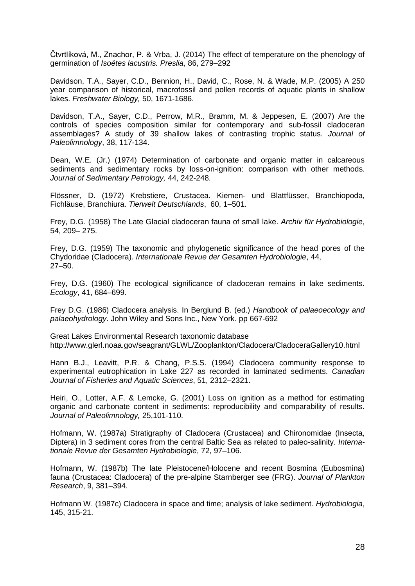Čtvrtlíková, M., Znachor, P. & Vrba, J. (2014) The effect of temperature on the phenology of germination of *Isoëtes lacustris. Preslia*, 86, 279–292

Davidson, T.A., Sayer, C.D., Bennion, H., David, C., Rose, N. & Wade, M.P. (2005) A 250 year comparison of historical, macrofossil and pollen records of aquatic plants in shallow lakes. *Freshwater Biology,* 50, 1671-1686.

Davidson, T.A., Sayer, C.D., Perrow, M.R., Bramm, M. & Jeppesen, E. (2007) Are the controls of species composition similar for contemporary and sub-fossil cladoceran assemblages? A study of 39 shallow lakes of contrasting trophic status. *Journal of Paleolimnology*, 38, 117-134.

Dean, W.E. (Jr.) (1974) Determination of carbonate and organic matter in calcareous sediments and sedimentary rocks by loss-on-ignition: comparison with other methods. *Journal of Sedimentary Petrology,* 44, 242-248.

Flössner, D. (1972) Krebstiere, Crustacea. Kiemen- und Blattfüsser, Branchiopoda, Fichläuse, Branchiura. *Tierwelt Deutschlands*, 60, 1–501.

Frey, D.G. (1958) The Late Glacial cladoceran fauna of small lake. *Archiv für Hydrobiologie*, 54, 209– 275.

Frey, D.G. (1959) The taxonomic and phylogenetic significance of the head pores of the Chydoridae (Cladocera). *Internationale Revue der Gesamten Hydrobiologie*, 44, 27–50.

Frey, D.G. (1960) The ecological significance of cladoceran remains in lake sediments. *Ecology*, 41, 684–699.

Frey D.G. (1986) Cladocera analysis. In Berglund B. (ed.) *Handbook of palaeoecology and palaeohydrology*. John Wiley and Sons Inc., New York. pp 667-692

Great Lakes Environmental Research taxonomic database http://www.glerl.noaa.gov/seagrant/GLWL/Zooplankton/Cladocera/CladoceraGallery10.html

Hann B.J., Leavitt, P.R. & Chang, P.S.S. (1994) Cladocera community response to experimental eutrophication in Lake 227 as recorded in laminated sediments. *Canadian Journal of Fisheries and Aquatic Sciences*, 51, 2312–2321.

Heiri, O., Lotter, A.F. & Lemcke, G. (2001) Loss on ignition as a method for estimating organic and carbonate content in sediments: reproducibility and comparability of results. *Journal of Paleolimnology,* 25,101-110.

Hofmann, W. (1987a) Stratigraphy of Cladocera (Crustacea) and Chironomidae (Insecta, Diptera) in 3 sediment cores from the central Baltic Sea as related to paleo-salinity. *Internationale Revue der Gesamten Hydrobiologie*, 72, 97–106.

Hofmann, W. (1987b) The late Pleistocene/Holocene and recent Bosmina (Eubosmina) fauna (Crustacea: Cladocera) of the pre-alpine Starnberger see (FRG). *Journal of Plankton Research*, 9, 381–394.

Hofmann W. (1987c) Cladocera in space and time; analysis of lake sediment. *Hydrobiologia*, 145, 315-21.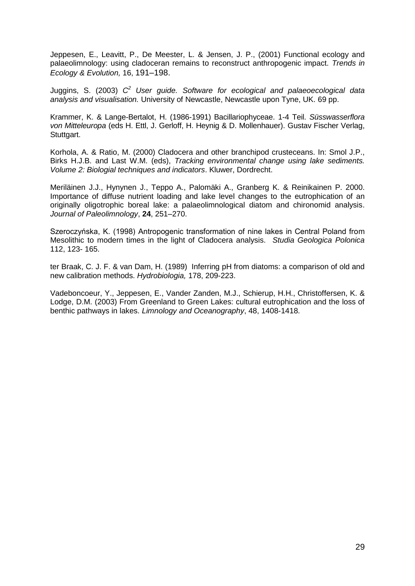Jeppesen, E., Leavitt, P., De Meester, L. & Jensen, J. P., (2001) Functional ecology and palaeolimnology: using cladoceran remains to reconstruct anthropogenic impact. *Trends in Ecology & Evolution,* 16, 191–198.

Juggins, S. (2003) *C <sup>2</sup> User guide. Software for ecological and palaeoecological data analysis and visualisation.* University of Newcastle, Newcastle upon Tyne, UK. 69 pp.

Krammer, K. & Lange-Bertalot, H. (1986-1991) Bacillariophyceae. 1-4 Teil. *Süsswasserflora von Mitteleuropa* (eds H. Ettl, J. Gerloff, H. Heynig & D. Mollenhauer). Gustav Fischer Verlag, Stuttgart.

Korhola, A. & Ratio, M. (2000) Cladocera and other branchipod crusteceans. In: Smol J.P., Birks H.J.B. and Last W.M. (eds), *Tracking environmental change using lake sediments. Volume 2: Biologial techniques and indicators*. Kluwer, Dordrecht.

Meriläinen J.J., Hynynen J., Teppo A., Palomäki A., Granberg K. & Reinikainen P. 2000. Importance of diffuse nutrient loading and lake level changes to the eutrophication of an originally oligotrophic boreal lake: a palaeolimnological diatom and chironomid analysis. *Journal of Paleolimnology*, **24**, 251–270.

Szeroczyńska, K. (1998) Antropogenic transformation of nine lakes in Central Poland from Mesolithic to modern times in the light of Cladocera analysis. *Studia Geologica Polonica* 112, 123- 165.

ter Braak, C. J. F. & van Dam, H. (1989) Inferring pH from diatoms: a comparison of old and new calibration methods. *Hydrobiologia,* 178, 209-223.

Vadeboncoeur, Y., Jeppesen, E., Vander Zanden, M.J., Schierup, H.H., Christoffersen, K. & Lodge, D.M. (2003) From Greenland to Green Lakes: cultural eutrophication and the loss of benthic pathways in lakes. *Limnology and Oceanography*, 48, 1408-1418.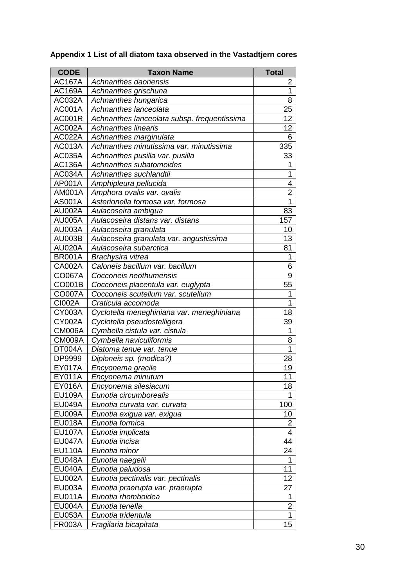| <b>CODE</b>   | <b>Taxon Name</b>                           | <b>Total</b>            |
|---------------|---------------------------------------------|-------------------------|
| <b>AC167A</b> | Achnanthes daonensis                        | 2                       |
| <b>AC169A</b> | Achnanthes grischuna                        | 1                       |
| AC032A        | Achnanthes hungarica                        | 8                       |
| <b>AC001A</b> | Achnanthes lanceolata                       | 25                      |
| <b>AC001R</b> | Achnanthes lanceolata subsp. frequentissima | 12                      |
| <b>AC002A</b> | <b>Achnanthes linearis</b>                  | 12                      |
| AC022A        | Achnanthes marginulata                      | 6                       |
| AC013A        | Achnanthes minutissima var. minutissima     | 335                     |
| AC035A        | Achnanthes pusilla var. pusilla             | 33                      |
| <b>AC136A</b> | Achnanthes subatomoides                     | 1                       |
| AC034A        | Achnanthes suchlandtii                      | 1                       |
| AP001A        | Amphipleura pellucida                       | 4                       |
| AM001A        | Amphora ovalis var. ovalis                  | 2                       |
| AS001A        | Asterionella formosa var. formosa           | $\overline{1}$          |
| <b>AU002A</b> | Aulacoseira ambigua                         | 83                      |
| <b>AU005A</b> | Aulacoseira distans var. distans            | 157                     |
| AU003A        | Aulacoseira granulata                       | 10                      |
| <b>AU003B</b> | Aulacoseira granulata var. angustissima     | 13                      |
| <b>AU020A</b> | Aulacoseira subarctica                      | 81                      |
| <b>BR001A</b> | Brachysira vitrea                           | 1                       |
| <b>CA002A</b> | Caloneis bacillum var. bacillum             | 6                       |
| CO067A        | Cocconeis neothumensis                      | 9                       |
| CO001B        | Cocconeis placentula var. euglypta          | 55                      |
| <b>CO007A</b> | Cocconeis scutellum var. scutellum          | 1                       |
| CI002A        | Craticula accomoda                          | 1                       |
| <b>CY003A</b> | Cyclotella meneghiniana var. meneghiniana   | 18                      |
| <b>CY002A</b> | Cyclotella pseudostelligera                 | 39                      |
| CM006A        | Cymbella cistula var. cistula               | 1                       |
| CM009A        | Cymbella naviculiformis                     | 8                       |
| DT004A        | Diatoma tenue var. tenue                    | 1                       |
| DP9999        | Diploneis sp. (modica?)                     | 28                      |
| <b>EY017A</b> | Encyonema gracile                           | 19                      |
| EY011A        | Encyonema minutum                           | 11                      |
| EY016A        | Encyonema silesiacum                        | 18                      |
| <b>EU109A</b> | Eunotia circumborealis                      | 1                       |
| <b>EU049A</b> | Eunotia curvata var. curvata                | 100                     |
| <b>EU009A</b> | Eunotia exigua var. exigua                  | 10                      |
| <b>EU018A</b> | Eunotia formica                             | 2                       |
| <b>EU107A</b> | Eunotia implicata                           | 4                       |
| <b>EU047A</b> | Eunotia incisa                              | 44                      |
| <b>EU110A</b> | Eunotia minor                               | 24                      |
| <b>EU048A</b> | Eunotia naegelii                            | 1                       |
| <b>EU040A</b> | Eunotia paludosa                            | 11                      |
| <b>EU002A</b> | Eunotia pectinalis var. pectinalis          | 12                      |
| <b>EU003A</b> | Eunotia praerupta var. praerupta            | 27                      |
| <b>EU011A</b> | Eunotia rhomboidea                          | 1                       |
| <b>EU004A</b> | Eunotia tenella                             | $\overline{\mathbf{c}}$ |
| <b>EU053A</b> | Eunotia tridentula                          | $\overline{1}$          |
| <b>FR003A</b> | Fragilaria bicapitata                       | 15                      |

**Appendix 1 List of all diatom taxa observed in the Vastadtjern cores**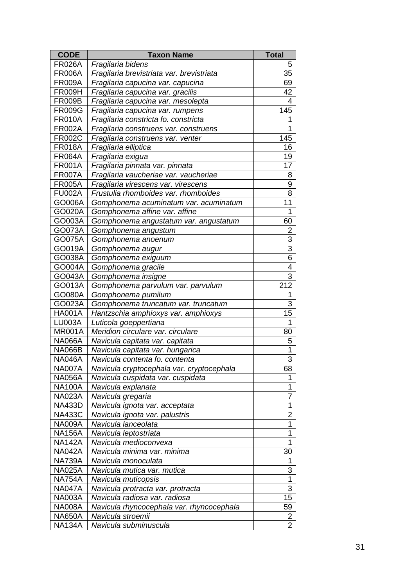| <b>CODE</b>   | <b>Taxon Name</b>                         | <b>Total</b>            |
|---------------|-------------------------------------------|-------------------------|
| <b>FR026A</b> | Fragilaria bidens                         | 5                       |
| <b>FR006A</b> | Fragilaria brevistriata var. brevistriata | 35                      |
| <b>FR009A</b> | Fragilaria capucina var. capucina         | 69                      |
| <b>FR009H</b> | Fragilaria capucina var. gracilis         | 42                      |
| <b>FR009B</b> | Fragilaria capucina var. mesolepta        | 4                       |
| <b>FR009G</b> | Fragilaria capucina var. rumpens          | 145                     |
| <b>FR010A</b> | Fragilaria constricta fo. constricta      | 1                       |
| <b>FR002A</b> | Fragilaria construens var. construens     | 1                       |
| <b>FR002C</b> | Fragilaria construens var. venter         | 145                     |
| <b>FR018A</b> | Fragilaria elliptica                      | 16                      |
| <b>FR064A</b> | Fragilaria exigua                         | 19                      |
| <b>FR001A</b> | Fragilaria pinnata var. pinnata           | 17                      |
| <b>FR007A</b> | Fragilaria vaucheriae var. vaucheriae     | 8                       |
| <b>FR005A</b> | Fragilaria virescens var. virescens       | $\overline{9}$          |
| <b>FU002A</b> | Frustulia rhomboides var. rhomboides      | 8                       |
| GO006A        | Gomphonema acuminatum var. acuminatum     | 11                      |
| GO020A        | Gomphonema affine var. affine             | 1                       |
| GO003A        | Gomphonema angustatum var. angustatum     | 60                      |
| GO073A        | Gomphonema angustum                       | 2                       |
| GO075A        | Gomphonema anoenum                        | $\overline{3}$          |
| GO019A        | Gomphonema augur                          | $\overline{3}$          |
| GO038A        | Gomphonema exiguum                        | 6                       |
| GO004A        | Gomphonema gracile                        | $\overline{4}$          |
| GO043A        | Gomphonema insigne                        | $\overline{3}$          |
| GO013A        | Gomphonema parvulum var. parvulum         | 212                     |
| GO080A        | Gomphonema pumilum                        | 1                       |
| GO023A        | Gomphonema truncatum var. truncatum       | 3                       |
| <b>HA001A</b> | Hantzschia amphioxys var. amphioxys       | 15                      |
| <b>LU003A</b> | Luticola goeppertiana                     | 1                       |
| MR001A        | Meridion circulare var. circulare         | 80                      |
| <b>NA066A</b> | Navicula capitata var. capitata           | 5                       |
| <b>NA066B</b> | Navicula capitata var. hungarica          | $\overline{1}$          |
| <b>NA046A</b> | Navicula contenta fo. contenta            | 3                       |
| <b>NA007A</b> | Navicula cryptocephala var. cryptocephala | 68                      |
| <b>NA056A</b> | Navicula cuspidata var. cuspidata         | 1                       |
| <b>NA100A</b> | Navicula explanata                        | 1                       |
| <b>NA023A</b> | Navicula gregaria                         | $\overline{7}$          |
| <b>NA433D</b> | Navicula ignota var. acceptata            | 1                       |
| <b>NA433C</b> | Navicula ignota var. palustris            | 2                       |
| <b>NA009A</b> | Navicula lanceolata                       | 1                       |
| <b>NA156A</b> | Navicula leptostriata                     | 1                       |
| <b>NA142A</b> | Navicula medioconvexa                     | 1                       |
| <b>NA042A</b> | Navicula minima var. minima               | 30                      |
| <b>NA739A</b> | Navicula monoculata                       | 1                       |
| <b>NA025A</b> | Navicula mutica var. mutica               | 3                       |
| <b>NA754A</b> | Navicula muticopsis                       | $\mathbf 1$             |
| <b>NA047A</b> | Navicula protracta var. protracta         | $\overline{3}$          |
| <b>NA003A</b> | Navicula radiosa var. radiosa             | 15                      |
| <b>NA008A</b> | Navicula rhyncocephala var. rhyncocephala | 59                      |
| <b>NA650A</b> | Navicula stroemii                         | $\overline{\mathbf{c}}$ |
| <b>NA134A</b> | Navicula subminuscula                     | $\overline{2}$          |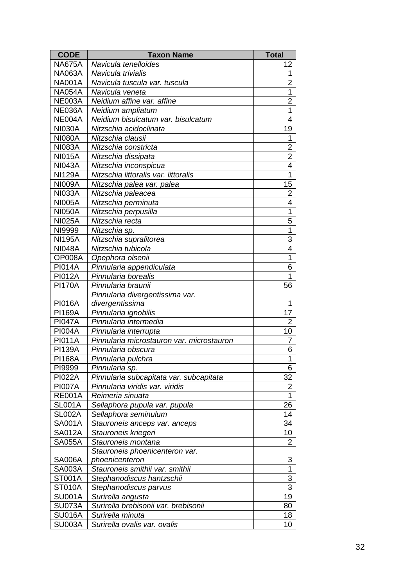| <b>CODE</b>   | <b>Taxon Name</b>                         | <b>Total</b>   |
|---------------|-------------------------------------------|----------------|
| <b>NA675A</b> | Navicula tenelloides                      | 12             |
| <b>NA063A</b> | Navicula trivialis                        | 1              |
| <b>NA001A</b> | Navicula tuscula var. tuscula             | $\overline{2}$ |
| <b>NA054A</b> | Navicula veneta                           | $\mathbf 1$    |
| <b>NE003A</b> | Neidium affine var, affine                | $\overline{2}$ |
| <b>NE036A</b> | Neidium ampliatum                         | $\overline{1}$ |
| <b>NE004A</b> | Neidium bisulcatum var. bisulcatum        | 4              |
| <b>NI030A</b> | Nitzschia acidoclinata                    | 19             |
| <b>NI080A</b> | Nitzschia clausii                         | 1              |
| <b>NI083A</b> | Nitzschia constricta                      | $\overline{c}$ |
| <b>NI015A</b> | Nitzschia dissipata                       | $\overline{2}$ |
| <b>NI043A</b> | Nitzschia inconspicua                     | 4              |
| <b>NI129A</b> | Nitzschia littoralis var. littoralis      | $\mathbf{1}$   |
| <b>NI009A</b> | Nitzschia palea var. palea                | 15             |
| <b>NI033A</b> | Nitzschia paleacea                        | $\overline{2}$ |
| <b>NI005A</b> | Nitzschia perminuta                       | 4              |
| <b>NI050A</b> | Nitzschia perpusilla                      | 1              |
| <b>NI025A</b> | Nitzschia recta                           | 5              |
| NI9999        | Nitzschia sp.                             | 1              |
| <b>NI195A</b> | Nitzschia supralitorea                    | 3              |
| <b>NI048A</b> | Nitzschia tubicola                        | 4              |
| OP008A        | Opephora olsenii                          | 1              |
| <b>PI014A</b> | Pinnularia appendiculata                  | 6              |
| <b>PI012A</b> | Pinnularia borealis                       | 1              |
| <b>PI170A</b> | Pinnularia braunii                        | 56             |
|               | Pinnularia divergentissima var.           |                |
| <b>PI016A</b> | divergentissima                           | 1              |
| <b>PI169A</b> | Pinnularia ignobilis                      | 17             |
| <b>PI047A</b> | Pinnularia intermedia                     | $\overline{2}$ |
| <b>PI004A</b> | Pinnularia interrupta                     | 10             |
| <b>PI011A</b> | Pinnularia microstauron var. microstauron | $\overline{7}$ |
| <b>PI139A</b> | Pinnularia obscura                        | 6              |
| <b>PI168A</b> | Pinnularia pulchra                        | 1              |
| PI9999        | Pinnularia sp.                            | 6              |
| <b>PI022A</b> | Pinnularia subcapitata var. subcapitata   | 32             |
| <b>PI007A</b> | Pinnularia viridis var. viridis           | $\overline{c}$ |
| <b>RE001A</b> | Reimeria sinuata                          | $\mathbf 1$    |
| <b>SL001A</b> | Sellaphora pupula var. pupula             | 26             |
| <b>SL002A</b> | Sellaphora seminulum                      | 14             |
| <b>SA001A</b> | Stauroneis anceps var. anceps             | 34             |
| <b>SA012A</b> | Stauroneis kriegeri                       | 10             |
| <b>SA055A</b> | Stauroneis montana                        | 2              |
|               | Stauroneis phoenicenteron var.            |                |
| <b>SA006A</b> | phoenicenteron                            | 3              |
| <b>SA003A</b> | Stauroneis smithii var. smithii           | 1              |
| ST001A        | Stephanodiscus hantzschii                 | $\overline{3}$ |
| <b>ST010A</b> | Stephanodiscus parvus                     | $\overline{3}$ |
| <b>SU001A</b> | Surirella angusta                         | 19             |
| <b>SU073A</b> | Surirella brebisonii var. brebisonii      | 80             |
| <b>SU016A</b> | Surirella minuta                          | 18             |
| <b>SU003A</b> | Surirella ovalis var. ovalis              | 10             |